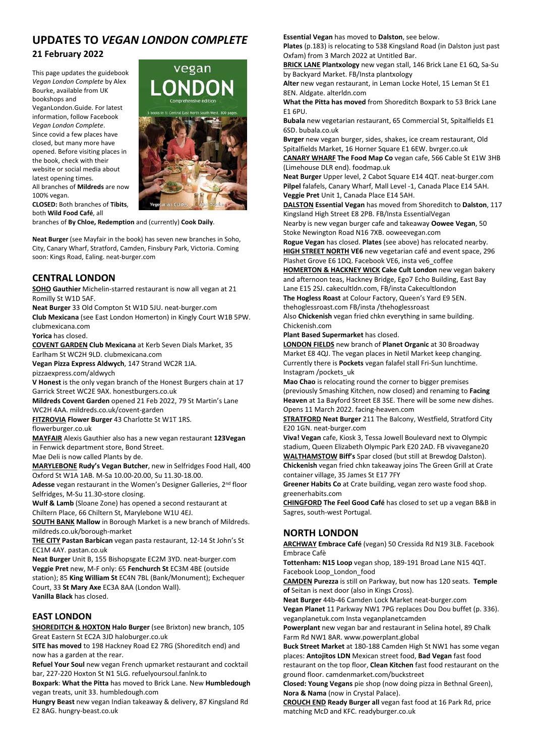# **UPDATES TO** *VEGAN LONDON COMPLETE*

#### **21 February 2022**

This page updates the guidebook *Vegan London Complete* by Alex Bourke, available from UK bookshops and VeganLondon.Guide. For latest information, follow Facebook *Vegan London Complete*. Since covid a few places have closed, but many more have opened. Before visiting places in the book, check with their website or social media about latest opening times. All branches of **Mildreds** are now 100% vegan.



**CLOSED:** Both branches of **Tibits**, both **Wild Food Café**, all

branches of **By Chloe, Redemption** and (currently) **Cook Daily**.

**Neat Burger** (see Mayfair in the book) has seven new branches in Soho, City, Canary Wharf, Stratford, Camden, Finsbury Park, Victoria. Coming soon: Kings Road, Ealing. neat‐burger.com

### **CENTRAL LONDON**

**SOHO Gauthier** Michelin‐starred restaurant is now all vegan at 21 Romilly St W1D 5AF.

**Neat Burger** 33 Old Compton St W1D 5JU. neat‐burger.com

**Club Mexicana** (see East London Homerton) in Kingly Court W1B 5PW. clubmexicana.com

**Yorica** has closed.

**COVENT GARDEN Club Mexicana** at Kerb Seven Dials Market, 35 Earlham St WC2H 9LD. clubmexicana.com

**Vegan Pizza Express Aldwych**, 147 Strand WC2R 1JA.

pizzaexpress.com/aldwych

**V Honest** is the only vegan branch of the Honest Burgers chain at 17 Garrick Street WC2E 9AX. honestburgers.co.uk

**Mildreds Covent Garden** opened 21 Feb 2022, 79 St Martin's Lane WC2H 4AA. mildreds.co.uk/covent‐garden

**FITZROVIA Flower Burger** 43 Charlotte St W1T 1RS. flowerburger.co.uk

**MAYFAIR** Alexis Gauthier also has a new vegan restaurant **123Vegan** in Fenwick department store, Bond Street.

Mae Deli is now called Plants by de.

**MARYLEBONE Rudy's Vegan Butcher**, new in Selfridges Food Hall, 400 Oxford St W1A 1AB. M‐Sa 10.00‐20.00, Su 11.30‐18.00.

Adesse vegan restaurant in the Women's Designer Galleries, 2<sup>nd</sup> floor Selfridges, M‐Su 11.30‐store closing.

**Wulf & Lamb** (Sloane Zone) has opened a second restaurant at Chiltern Place, 66 Chiltern St, Marylebone W1U 4EJ.

**SOUTH BANK Mallow** in Borough Market is a new branch of Mildreds. mildreds.co.uk/borough‐market

**THE CITY Pastan Barbican** vegan pasta restaurant, 12‐14 St John's St EC1M 4AY. pastan.co.uk

**Neat Burger** Unit B, 155 Bishopsgate EC2M 3YD. neat‐burger.com **Veggie Pret** new, M‐F only: 65 **Fenchurch St** EC3M 4BE (outside station); 85 **King William St** EC4N 7BL (Bank/Monument); Exchequer Court, 33 **St Mary Axe** EC3A 8AA (London Wall). **Vanilla Black** has closed.

# **EAST LONDON**

**SHOREDITCH & HOXTON Halo Burger** (see Brixton) new branch, 105 Great Eastern St EC2A 3JD haloburger.co.uk

**SITE has moved** to 198 Hackney Road E2 7RG (Shoreditch end) and now has a garden at the rear.

**Refuel Your Soul** new vegan French upmarket restaurant and cocktail bar, 227‐220 Hoxton St N1 5LG. refuelyoursoul.fanlnk.to

**Boxpark**: **What the Pitta** has moved to Brick Lane. New **Humbledough** vegan treats, unit 33. humbledough.com

**Hungry Beast** new vegan Indian takeaway & delivery, 87 Kingsland Rd E2 8AG. hungry‐beast.co.uk

**Essential Vegan** has moved to **Dalston**, see below.

**Plates** (p.183) is relocating to 538 Kingsland Road (in Dalston just past Oxfam) from 3 March 2022 at Untitled Bar.

**BRICK LANE Plantxology** new vegan stall, 146 Brick Lane E1 6Q, Sa‐Su by Backyard Market. FB/Insta plantxology

**Alter** new vegan restaurant, in Leman Locke Hotel, 15 Leman St E1 8EN. Aldgate. alterldn.com

**What the Pitta has moved** from Shoreditch Boxpark to 53 Brick Lane E1 6PU.

**Bubala** new vegetarian restaurant, 65 Commercial St, Spitalfields E1 6SD. bubala.co.uk

**Bvrger** new vegan burger, sides, shakes, ice cream restaurant, Old Spitalfields Market, 16 Horner Square E1 6EW. bvrger.co.uk

**CANARY WHARF The Food Map Co** vegan cafe, 566 Cable St E1W 3HB (Limehouse DLR end). foodmap.uk

**Neat Burger** Upper level, 2 Cabot Square E14 4QT. neat‐burger.com **Pilpel** falafels, Canary Wharf, Mall Level ‐1, Canada Place E14 5AH. **Veggie Pret** Unit 1, Canada Place E14 5AH.

**DALSTON Essential Vegan** has moved from Shoreditch to **Dalston**, 117 Kingsland High Street E8 2PB. FB/Insta EssentialVegan

Nearby is new vegan burger cafe and takeaway **Oowee Vegan**, 50 Stoke Newington Road N16 7XB. ooweevegan.com

**Rogue Vegan** has closed. **Plates** (see above) has relocated nearby. **HIGH STREET NORTH VE6** new vegetarian café and event space, 296 Plashet Grove E6 1DQ. Facebook VE6, insta ve6\_coffee

**HOMERTON & HACKNEY WICK Cake Cult London** new vegan bakery and afternoon teas, Hackney Bridge, Ego7 Echo Building, East Bay Lane E15 2SJ. cakecultldn.com, FB/insta Cakecultlondon **The Hogless Roast** at Colour Factory, Queen's Yard E9 5EN.

thehoglessroast.com FB/insta /thehoglessroast

Also **Chickenish** vegan fried chkn everything in same building. Chickenish.com

**Plant Based Supermarket** has closed.

**LONDON FIELDS** new branch of **Planet Organic** at 30 Broadway Market E8 4QJ. The vegan places in Netil Market keep changing. Currently there is **Pockets** vegan falafel stall Fri‐Sun lunchtime. Instagram /pockets\_uk

**Mao Chao** is relocating round the corner to bigger premises (previously Smashing Kitchen, now closed) and renaming to **Facing Heaven** at 1a Bayford Street E8 3SE. There will be some new dishes. Opens 11 March 2022. facing‐heaven.com

**STRATFORD Neat Burger** 211 The Balcony, Westfield, Stratford City E20 1GN. neat‐burger.com

**Viva! Vegan** cafe, Kiosk 3, Tessa Jowell Boulevard next to Olympic stadium, Queen Elizabeth Olympic Park E20 2AD. FB vivavegane20 **WALTHAMSTOW Biff's** Spar closed (but still at Brewdog Dalston). **Chickenish** vegan fried chkn takeaway joins The Green Grill at Crate

container village, 35 James St E17 7FY

**Greener Habits Co** at Crate building, vegan zero waste food shop. greenerhabits.com

**CHINGFORD The Feel Good Café** has closed to set up a vegan B&B in Sagres, south‐west Portugal.

# **NORTH LONDON**

**ARCHWAY Embrace Café** (vegan) 50 Cressida Rd N19 3LB. Facebook Embrace Cafè

**Tottenham: N15 Loop** vegan shop, 189‐191 Broad Lane N15 4QT. Facebook Loop\_London\_food

**CAMDEN Purezza** is still on Parkway, but now has 120 seats. **Temple of** Seitan is next door (also in Kings Cross).

**Neat Burger** 44b‐46 Camden Lock Market neat‐burger.com

**Vegan Planet** 11 Parkway NW1 7PG replaces Dou Dou buffet (p. 336). veganplanetuk.com Insta veganplanetcamden

**Powerplant** new vegan bar and restaurant in Selina hotel, 89 Chalk Farm Rd NW1 8AR. www.powerplant.global

**Buck Street Market** at 180‐188 Camden High St NW1 has some vegan places: **Antojitos LDN** Mexican street food, **Bad Vegan** fast food restaurant on the top floor, **Clean Kitchen** fast food restaurant on the ground floor. camdenmarket.com/buckstreet

**Closed: Young Vegans** pie shop (now doing pizza in Bethnal Green), **Nora & Nama** (now in Crystal Palace).

**CROUCH END Ready Burger all** vegan fast food at 16 Park Rd, price matching McD and KFC. readyburger.co.uk